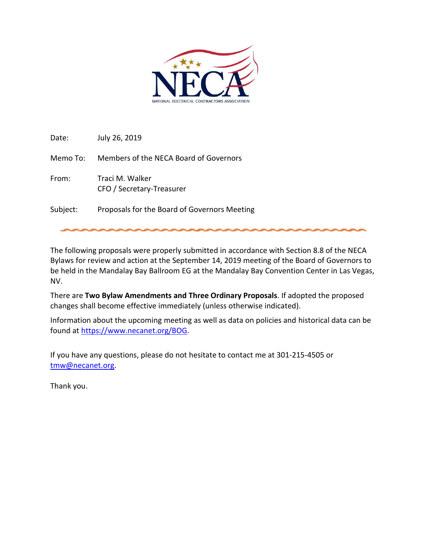

Date: July 26, 2019

Memo To: Members of the NECA Board of Governors

From: Traci M. Walker CFO / Secretary-Treasurer

Subject: Proposals for the Board of Governors Meeting

The following proposals were properly submitted in accordance with Section 8.8 of the NECA Bylaws for review and action at the September 14, 2019 meeting of the Board of Governors to be held in the Mandalay Bay Ballroom EG at the Mandalay Bay Convention Center in Las Vegas, NV.

There are **Two Bylaw Amendments and Three Ordinary Proposals**. If adopted the proposed changes shall become effective immediately (unless otherwise indicated).

Information about the upcoming meeting as well as data on policies and historical data can be found at [https://www.necanet.org/BOG.](https://www.necanet.org/BOG)

If you have any questions, please do not hesitate to contact me at 301-215-4505 or [tmw@necanet.org.](mailto:tmw@necanet.org)

Thank you.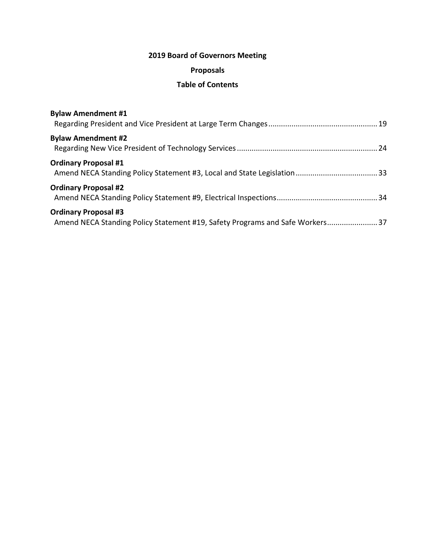# **2019 Board of Governors Meeting**

# **Proposals**

# **Table of Contents**

| <b>Bylaw Amendment #1</b>                                                                                    |  |
|--------------------------------------------------------------------------------------------------------------|--|
| <b>Bylaw Amendment #2</b>                                                                                    |  |
| <b>Ordinary Proposal #1</b>                                                                                  |  |
| <b>Ordinary Proposal #2</b>                                                                                  |  |
| <b>Ordinary Proposal #3</b><br>Amend NECA Standing Policy Statement #19, Safety Programs and Safe Workers 37 |  |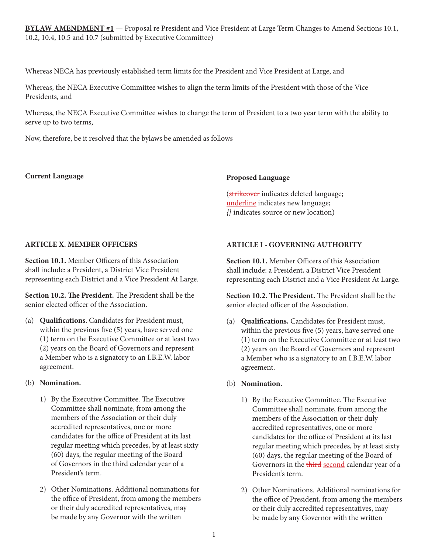**BYLAW AMENDMENT #1** — Proposal re President and Vice President at Large Term Changes to Amend Sections 10.1, 10.2, 10.4, 10.5 and 10.7 (submitted by Executive Committee)

Whereas NECA has previously established term limits for the President and Vice President at Large, and

Whereas, the NECA Executive Committee wishes to align the term limits of the President with those of the Vice Presidents, and

Whereas, the NECA Executive Committee wishes to change the term of President to a two year term with the ability to serve up to two terms,

Now, therefore, be it resolved that the bylaws be amended as follows

## **Current Language**

## **Proposed Language**

(strikeover indicates deleted language; underline indicates new language; *{}* indicates source or new location)

# **ARTICLE X. MEMBER OFFICERS**

**Section 10.1.** Member Officers of this Association shall include: a President, a District Vice President representing each District and a Vice President At Large.

**Section 10.2. The President.** The President shall be the senior elected officer of the Association.

(a) **Qualifications**. Candidates for President must, within the previous five (5) years, have served one (1) term on the Executive Committee or at least two (2) years on the Board of Governors and represent a Member who is a signatory to an I.B.E.W. labor agreement.

# (b) **Nomination.**

- 1) By the Executive Committee. The Executive Committee shall nominate, from among the members of the Association or their duly accredited representatives, one or more candidates for the office of President at its last regular meeting which precedes, by at least sixty (60) days, the regular meeting of the Board of Governors in the third calendar year of a President's term.
- 2) Other Nominations. Additional nominations for the office of President, from among the members or their duly accredited representatives, may be made by any Governor with the written

# **ARTICLE I - GOVERNING AUTHORITY**

**Section 10.1.** Member Officers of this Association shall include: a President, a District Vice President representing each District and a Vice President At Large.

**Section 10.2. The President.** The President shall be the senior elected officer of the Association.

(a) **Qualifications.** Candidates for President must, within the previous five (5) years, have served one (1) term on the Executive Committee or at least two (2) years on the Board of Governors and represent a Member who is a signatory to an I.B.E.W. labor agreement.

# (b) **Nomination.**

- 1) By the Executive Committee. The Executive Committee shall nominate, from among the members of the Association or their duly accredited representatives, one or more candidates for the office of President at its last regular meeting which precedes, by at least sixty (60) days, the regular meeting of the Board of Governors in the third second calendar year of a President's term.
- 2) Other Nominations. Additional nominations for the office of President, from among the members or their duly accredited representatives, may be made by any Governor with the written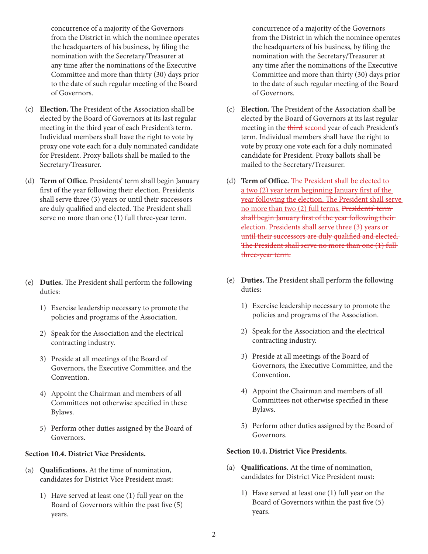concurrence of a majority of the Governors from the District in which the nominee operates the headquarters of his business, by filing the nomination with the Secretary/Treasurer at any time after the nominations of the Executive Committee and more than thirty (30) days prior to the date of such regular meeting of the Board of Governors.

- (c) **Election.** The President of the Association shall be elected by the Board of Governors at its last regular meeting in the third year of each President's term. Individual members shall have the right to vote by proxy one vote each for a duly nominated candidate for President. Proxy ballots shall be mailed to the Secretary/Treasurer.
- (d) **Term of Office.** Presidents' term shall begin January first of the year following their election. Presidents shall serve three (3) years or until their successors are duly qualified and elected. The President shall serve no more than one (1) full three-year term.

- (e) **Duties.** The President shall perform the following duties:
	- 1) Exercise leadership necessary to promote the policies and programs of the Association.
	- 2) Speak for the Association and the electrical contracting industry.
	- 3) Preside at all meetings of the Board of Governors, the Executive Committee, and the Convention.
	- 4) Appoint the Chairman and members of all Committees not otherwise specified in these Bylaws.
	- 5) Perform other duties assigned by the Board of Governors.

# **Section 10.4. District Vice Presidents.**

- (a) **Qualifications.** At the time of nomination, candidates for District Vice President must:
	- 1) Have served at least one (1) full year on the Board of Governors within the past five (5) years.

concurrence of a majority of the Governors from the District in which the nominee operates the headquarters of his business, by filing the nomination with the Secretary/Treasurer at any time after the nominations of the Executive Committee and more than thirty (30) days prior to the date of such regular meeting of the Board of Governors.

- (c) **Election.** The President of the Association shall be elected by the Board of Governors at its last regular meeting in the third second year of each President's term. Individual members shall have the right to vote by proxy one vote each for a duly nominated candidate for President. Proxy ballots shall be mailed to the Secretary/Treasurer.
- (d) **Term of Office.** The President shall be elected to a two (2) year term beginning January first of the year following the election. The President shall serve no more than two (2) full terms. Presidents' term shall begin January first of the year following their election. Presidents shall serve three (3) years or until their successors are duly qualified and elected. The President shall serve no more than one (1) full three-year term.
- (e) **Duties.** The President shall perform the following duties:
	- 1) Exercise leadership necessary to promote the policies and programs of the Association.
	- 2) Speak for the Association and the electrical contracting industry.
	- 3) Preside at all meetings of the Board of Governors, the Executive Committee, and the Convention.
	- 4) Appoint the Chairman and members of all Committees not otherwise specified in these Bylaws.
	- 5) Perform other duties assigned by the Board of Governors.

#### **Section 10.4. District Vice Presidents.**

- (a) **Qualifications.** At the time of nomination, candidates for District Vice President must:
	- 1) Have served at least one (1) full year on the Board of Governors within the past five (5) years.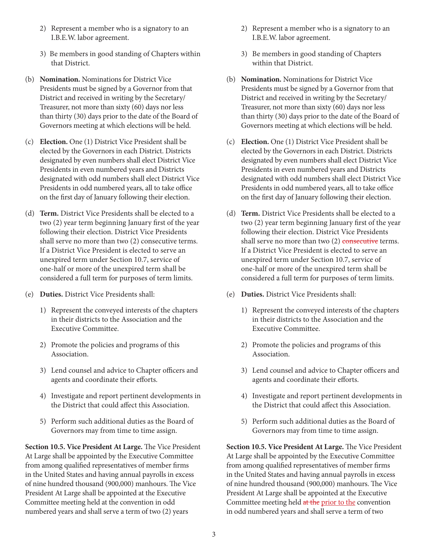- 2) Represent a member who is a signatory to an I.B.E.W. labor agreement.
- 3) Be members in good standing of Chapters within that District.
- (b) **Nomination.** Nominations for District Vice Presidents must be signed by a Governor from that District and received in writing by the Secretary/ Treasurer, not more than sixty (60) days nor less than thirty (30) days prior to the date of the Board of Governors meeting at which elections will be held.
- (c) **Election.** One (1) District Vice President shall be elected by the Governors in each District. Districts designated by even numbers shall elect District Vice Presidents in even numbered years and Districts designated with odd numbers shall elect District Vice Presidents in odd numbered years, all to take office on the first day of January following their election.
- (d) **Term.** District Vice Presidents shall be elected to a two (2) year term beginning January first of the year following their election. District Vice Presidents shall serve no more than two (2) consecutive terms. If a District Vice President is elected to serve an unexpired term under Section 10.7, service of one-half or more of the unexpired term shall be considered a full term for purposes of term limits.
- (e) **Duties.** District Vice Presidents shall:
	- 1) Represent the conveyed interests of the chapters in their districts to the Association and the Executive Committee.
	- 2) Promote the policies and programs of this Association.
	- 3) Lend counsel and advice to Chapter officers and agents and coordinate their efforts.
	- 4) Investigate and report pertinent developments in the District that could affect this Association.
	- 5) Perform such additional duties as the Board of Governors may from time to time assign.

**Section 10.5. Vice President At Large.** The Vice President At Large shall be appointed by the Executive Committee from among qualified representatives of member firms in the United States and having annual payrolls in excess of nine hundred thousand (900,000) manhours. The Vice President At Large shall be appointed at the Executive Committee meeting held at the convention in odd numbered years and shall serve a term of two (2) years

- 2) Represent a member who is a signatory to an I.B.E.W. labor agreement.
- 3) Be members in good standing of Chapters within that District.
- (b) **Nomination.** Nominations for District Vice Presidents must be signed by a Governor from that District and received in writing by the Secretary/ Treasurer, not more than sixty (60) days nor less than thirty (30) days prior to the date of the Board of Governors meeting at which elections will be held.
- (c) **Election.** One (1) District Vice President shall be elected by the Governors in each District. Districts designated by even numbers shall elect District Vice Presidents in even numbered years and Districts designated with odd numbers shall elect District Vice Presidents in odd numbered years, all to take office on the first day of January following their election.
- (d) **Term.** District Vice Presidents shall be elected to a two (2) year term beginning January first of the year following their election. District Vice Presidents shall serve no more than two  $(2)$  consecutive terms. If a District Vice President is elected to serve an unexpired term under Section 10.7, service of one-half or more of the unexpired term shall be considered a full term for purposes of term limits.
- (e) **Duties.** District Vice Presidents shall:
	- 1) Represent the conveyed interests of the chapters in their districts to the Association and the Executive Committee.
	- 2) Promote the policies and programs of this Association.
	- 3) Lend counsel and advice to Chapter officers and agents and coordinate their efforts.
	- 4) Investigate and report pertinent developments in the District that could affect this Association.
	- 5) Perform such additional duties as the Board of Governors may from time to time assign.

**Section 10.5. Vice President At Large.** The Vice President At Large shall be appointed by the Executive Committee from among qualified representatives of member firms in the United States and having annual payrolls in excess of nine hundred thousand (900,000) manhours. The Vice President At Large shall be appointed at the Executive Committee meeting held at the prior to the convention in odd numbered years and shall serve a term of two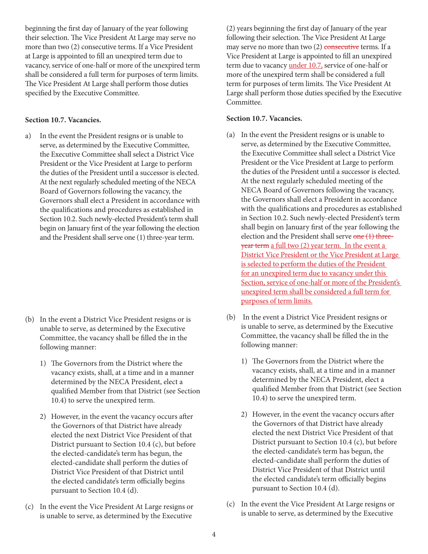beginning the first day of January of the year following their selection. The Vice President At Large may serve no more than two (2) consecutive terms. If a Vice President at Large is appointed to fill an unexpired term due to vacancy, service of one-half or more of the unexpired term shall be considered a full term for purposes of term limits. The Vice President At Large shall perform those duties specified by the Executive Committee.

### **Section 10.7. Vacancies.**

a) In the event the President resigns or is unable to serve, as determined by the Executive Committee, the Executive Committee shall select a District Vice President or the Vice President at Large to perform the duties of the President until a successor is elected. At the next regularly scheduled meeting of the NECA Board of Governors following the vacancy, the Governors shall elect a President in accordance with the qualifications and procedures as established in Section 10.2. Such newly-elected President's term shall begin on January first of the year following the election and the President shall serve one (1) three-year term.

- (b) In the event a District Vice President resigns or is unable to serve, as determined by the Executive Committee, the vacancy shall be filled the in the following manner:
	- 1) The Governors from the District where the vacancy exists, shall, at a time and in a manner determined by the NECA President, elect a qualified Member from that District (see Section 10.4) to serve the unexpired term.
	- 2) However, in the event the vacancy occurs after the Governors of that District have already elected the next District Vice President of that District pursuant to Section 10.4 (c), but before the elected-candidate's term has begun, the elected-candidate shall perform the duties of District Vice President of that District until the elected candidate's term officially begins pursuant to Section 10.4 (d).
- (c) In the event the Vice President At Large resigns or is unable to serve, as determined by the Executive

(2) years beginning the first day of January of the year following their selection. The Vice President At Large may serve no more than two  $(2)$  consecutive terms. If a Vice President at Large is appointed to fill an unexpired term due to vacancy *under 10.7*, service of one-half or more of the unexpired term shall be considered a full term for purposes of term limits. The Vice President At Large shall perform those duties specified by the Executive Committee.

### **Section 10.7. Vacancies.**

- (a) In the event the President resigns or is unable to serve, as determined by the Executive Committee, the Executive Committee shall select a District Vice President or the Vice President at Large to perform the duties of the President until a successor is elected. At the next regularly scheduled meeting of the NECA Board of Governors following the vacancy, the Governors shall elect a President in accordance with the qualifications and procedures as established in Section 10.2. Such newly-elected President's term shall begin on January first of the year following the election and the President shall serve  $one(1)$  threeyear term a full two (2) year term. In the event a District Vice President or the Vice President at Large is selected to perform the duties of the President for an unexpired term due to vacancy under this Section, service of one-half or more of the President's unexpired term shall be considered a full term for purposes of term limits.
- (b) In the event a District Vice President resigns or is unable to serve, as determined by the Executive Committee, the vacancy shall be filled the in the following manner:
	- 1) The Governors from the District where the vacancy exists, shall, at a time and in a manner determined by the NECA President, elect a qualified Member from that District (see Section 10.4) to serve the unexpired term.
	- 2) However, in the event the vacancy occurs after the Governors of that District have already elected the next District Vice President of that District pursuant to Section 10.4 (c), but before the elected-candidate's term has begun, the elected-candidate shall perform the duties of District Vice President of that District until the elected candidate's term officially begins pursuant to Section 10.4 (d).
- (c) In the event the Vice President At Large resigns or is unable to serve, as determined by the Executive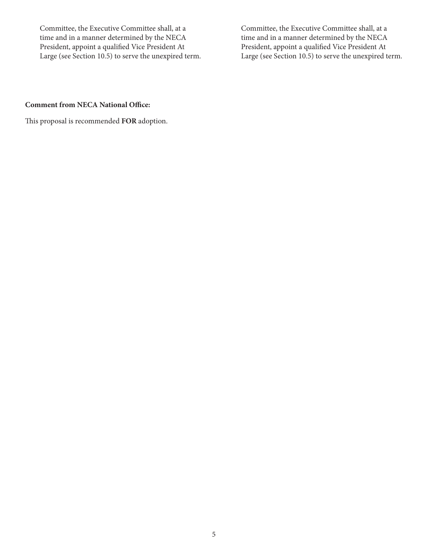Committee, the Executive Committee shall, at a time and in a manner determined by the NECA President, appoint a qualified Vice President At Large (see Section 10.5) to serve the unexpired term.

Committee, the Executive Committee shall, at a time and in a manner determined by the NECA President, appoint a qualified Vice President At Large (see Section 10.5) to serve the unexpired term.

# **Comment from NECA National Office:**

This proposal is recommended **FOR** adoption.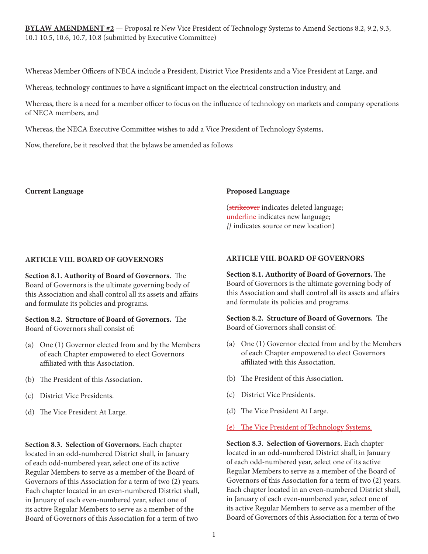**BYLAW AMENDMENT #2** — Proposal re New Vice President of Technology Systems to Amend Sections 8.2, 9.2, 9.3, 10.1 10.5, 10.6, 10.7, 10.8 (submitted by Executive Committee)

Whereas Member Officers of NECA include a President, District Vice Presidents and a Vice President at Large, and

Whereas, technology continues to have a significant impact on the electrical construction industry, and

Whereas, there is a need for a member officer to focus on the influence of technology on markets and company operations of NECA members, and

Whereas, the NECA Executive Committee wishes to add a Vice President of Technology Systems,

Now, therefore, be it resolved that the bylaws be amended as follows

#### **Current Language**

#### **Proposed Language**

(strikeover indicates deleted language; underline indicates new language; *{}* indicates source or new location)

### **ARTICLE VIII. BOARD OF GOVERNORS**

**Section 8.1. Authority of Board of Governors.** The Board of Governors is the ultimate governing body of this Association and shall control all its assets and affairs and formulate its policies and programs.

### **Section 8.2. Structure of Board of Governors.** The Board of Governors shall consist of:

- (a) One (1) Governor elected from and by the Members of each Chapter empowered to elect Governors affiliated with this Association.
- (b) The President of this Association.
- (c) District Vice Presidents.
- (d) The Vice President At Large.

**Section 8.3. Selection of Governors.** Each chapter located in an odd-numbered District shall, in January of each odd-numbered year, select one of its active Regular Members to serve as a member of the Board of Governors of this Association for a term of two (2) years. Each chapter located in an even-numbered District shall, in January of each even-numbered year, select one of its active Regular Members to serve as a member of the Board of Governors of this Association for a term of two

# **ARTICLE VIII. BOARD OF GOVERNORS**

**Section 8.1. Authority of Board of Governors.** The Board of Governors is the ultimate governing body of this Association and shall control all its assets and affairs and formulate its policies and programs.

**Section 8.2. Structure of Board of Governors.** The Board of Governors shall consist of:

- (a) One (1) Governor elected from and by the Members of each Chapter empowered to elect Governors affiliated with this Association.
- (b) The President of this Association.
- (c) District Vice Presidents.
- (d) The Vice President At Large.
- (e) The Vice President of Technology Systems.

**Section 8.3. Selection of Governors.** Each chapter located in an odd-numbered District shall, in January of each odd-numbered year, select one of its active Regular Members to serve as a member of the Board of Governors of this Association for a term of two (2) years. Each chapter located in an even-numbered District shall, in January of each even-numbered year, select one of its active Regular Members to serve as a member of the Board of Governors of this Association for a term of two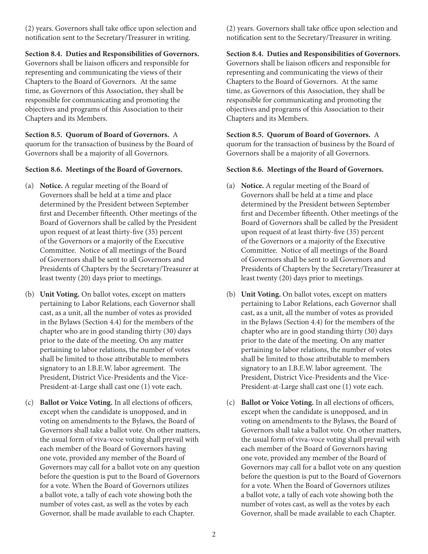(2) years. Governors shall take office upon selection and notification sent to the Secretary/Treasurer in writing.

# **Section 8.4. Duties and Responsibilities of Governors.**

Governors shall be liaison officers and responsible for representing and communicating the views of their Chapters to the Board of Governors. At the same time, as Governors of this Association, they shall be responsible for communicating and promoting the objectives and programs of this Association to their Chapters and its Members.

**Section 8.5. Quorum of Board of Governors.** A quorum for the transaction of business by the Board of Governors shall be a majority of all Governors.

## **Section 8.6. Meetings of the Board of Governors.**

- (a) **Notice.** A regular meeting of the Board of Governors shall be held at a time and place determined by the President between September first and December fifteenth. Other meetings of the Board of Governors shall be called by the President upon request of at least thirty-five (35) percent of the Governors or a majority of the Executive Committee. Notice of all meetings of the Board of Governors shall be sent to all Governors and Presidents of Chapters by the Secretary/Treasurer at least twenty (20) days prior to meetings.
- (b) **Unit Voting.** On ballot votes, except on matters pertaining to Labor Relations, each Governor shall cast, as a unit, all the number of votes as provided in the Bylaws (Section 4.4) for the members of the chapter who are in good standing thirty (30) days prior to the date of the meeting. On any matter pertaining to labor relations, the number of votes shall be limited to those attributable to members signatory to an I.B.E.W. labor agreement. The President, District Vice-Presidents and the Vice-President-at-Large shall cast one (1) vote each.
- (c) **Ballot or Voice Voting.** In all elections of officers, except when the candidate is unopposed, and in voting on amendments to the Bylaws, the Board of Governors shall take a ballot vote. On other matters, the usual form of viva-voce voting shall prevail with each member of the Board of Governors having one vote, provided any member of the Board of Governors may call for a ballot vote on any question before the question is put to the Board of Governors for a vote. When the Board of Governors utilizes a ballot vote, a tally of each vote showing both the number of votes cast, as well as the votes by each Governor, shall be made available to each Chapter.

(2) years. Governors shall take office upon selection and notification sent to the Secretary/Treasurer in writing.

# **Section 8.4. Duties and Responsibilities of Governors.**

Governors shall be liaison officers and responsible for representing and communicating the views of their Chapters to the Board of Governors. At the same time, as Governors of this Association, they shall be responsible for communicating and promoting the objectives and programs of this Association to their Chapters and its Members.

**Section 8.5. Quorum of Board of Governors.** A quorum for the transaction of business by the Board of Governors shall be a majority of all Governors.

### **Section 8.6. Meetings of the Board of Governors.**

- (a) **Notice.** A regular meeting of the Board of Governors shall be held at a time and place determined by the President between September first and December fifteenth. Other meetings of the Board of Governors shall be called by the President upon request of at least thirty-five (35) percent of the Governors or a majority of the Executive Committee. Notice of all meetings of the Board of Governors shall be sent to all Governors and Presidents of Chapters by the Secretary/Treasurer at least twenty (20) days prior to meetings.
- (b) **Unit Voting.** On ballot votes, except on matters pertaining to Labor Relations, each Governor shall cast, as a unit, all the number of votes as provided in the Bylaws (Section 4.4) for the members of the chapter who are in good standing thirty (30) days prior to the date of the meeting. On any matter pertaining to labor relations, the number of votes shall be limited to those attributable to members signatory to an I.B.E.W. labor agreement. The President, District Vice-Presidents and the Vice-President-at-Large shall cast one (1) vote each.
- (c) **Ballot or Voice Voting.** In all elections of officers, except when the candidate is unopposed, and in voting on amendments to the Bylaws, the Board of Governors shall take a ballot vote. On other matters, the usual form of viva-voce voting shall prevail with each member of the Board of Governors having one vote, provided any member of the Board of Governors may call for a ballot vote on any question before the question is put to the Board of Governors for a vote. When the Board of Governors utilizes a ballot vote, a tally of each vote showing both the number of votes cast, as well as the votes by each Governor, shall be made available to each Chapter.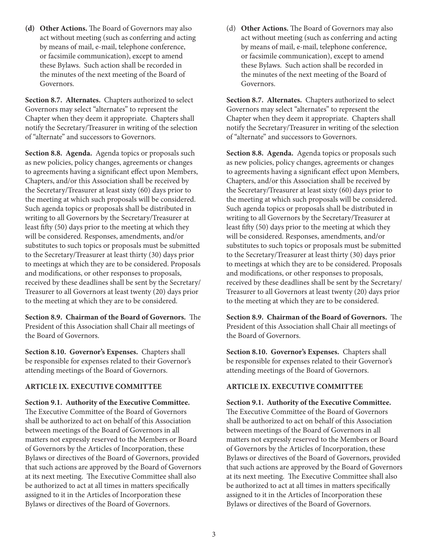**(d) Other Actions.** The Board of Governors may also act without meeting (such as conferring and acting by means of mail, e-mail, telephone conference, or facsimile communication), except to amend these Bylaws. Such action shall be recorded in the minutes of the next meeting of the Board of Governors.

**Section 8.7. Alternates.** Chapters authorized to select Governors may select "alternates" to represent the Chapter when they deem it appropriate. Chapters shall notify the Secretary/Treasurer in writing of the selection of "alternate" and successors to Governors.

**Section 8.8. Agenda.** Agenda topics or proposals such as new policies, policy changes, agreements or changes to agreements having a significant effect upon Members, Chapters, and/or this Association shall be received by the Secretary/Treasurer at least sixty (60) days prior to the meeting at which such proposals will be considered. Such agenda topics or proposals shall be distributed in writing to all Governors by the Secretary/Treasurer at least fifty (50) days prior to the meeting at which they will be considered. Responses, amendments, and/or substitutes to such topics or proposals must be submitted to the Secretary/Treasurer at least thirty (30) days prior to meetings at which they are to be considered. Proposals and modifications, or other responses to proposals, received by these deadlines shall be sent by the Secretary/ Treasurer to all Governors at least twenty (20) days prior to the meeting at which they are to be considered.

**Section 8.9. Chairman of the Board of Governors.** The President of this Association shall Chair all meetings of the Board of Governors.

**Section 8.10. Governor's Expenses.** Chapters shall be responsible for expenses related to their Governor's attending meetings of the Board of Governors.

### **ARTICLE IX. EXECUTIVE COMMITTEE**

**Section 9.1. Authority of the Executive Committee.** The Executive Committee of the Board of Governors shall be authorized to act on behalf of this Association between meetings of the Board of Governors in all matters not expressly reserved to the Members or Board of Governors by the Articles of Incorporation, these Bylaws or directives of the Board of Governors, provided that such actions are approved by the Board of Governors at its next meeting. The Executive Committee shall also be authorized to act at all times in matters specifically assigned to it in the Articles of Incorporation these Bylaws or directives of the Board of Governors.

(d) **Other Actions.** The Board of Governors may also act without meeting (such as conferring and acting by means of mail, e-mail, telephone conference, or facsimile communication), except to amend these Bylaws. Such action shall be recorded in the minutes of the next meeting of the Board of Governors.

**Section 8.7. Alternates.** Chapters authorized to select Governors may select "alternates" to represent the Chapter when they deem it appropriate. Chapters shall notify the Secretary/Treasurer in writing of the selection of "alternate" and successors to Governors.

**Section 8.8. Agenda.** Agenda topics or proposals such as new policies, policy changes, agreements or changes to agreements having a significant effect upon Members, Chapters, and/or this Association shall be received by the Secretary/Treasurer at least sixty (60) days prior to the meeting at which such proposals will be considered. Such agenda topics or proposals shall be distributed in writing to all Governors by the Secretary/Treasurer at least fifty (50) days prior to the meeting at which they will be considered. Responses, amendments, and/or substitutes to such topics or proposals must be submitted to the Secretary/Treasurer at least thirty (30) days prior to meetings at which they are to be considered. Proposals and modifications, or other responses to proposals, received by these deadlines shall be sent by the Secretary/ Treasurer to all Governors at least twenty (20) days prior to the meeting at which they are to be considered.

**Section 8.9. Chairman of the Board of Governors.** The President of this Association shall Chair all meetings of the Board of Governors.

**Section 8.10. Governor's Expenses.** Chapters shall be responsible for expenses related to their Governor's attending meetings of the Board of Governors.

### **ARTICLE IX. EXECUTIVE COMMITTEE**

**Section 9.1. Authority of the Executive Committee.** The Executive Committee of the Board of Governors shall be authorized to act on behalf of this Association between meetings of the Board of Governors in all matters not expressly reserved to the Members or Board of Governors by the Articles of Incorporation, these Bylaws or directives of the Board of Governors, provided that such actions are approved by the Board of Governors at its next meeting. The Executive Committee shall also be authorized to act at all times in matters specifically assigned to it in the Articles of Incorporation these Bylaws or directives of the Board of Governors.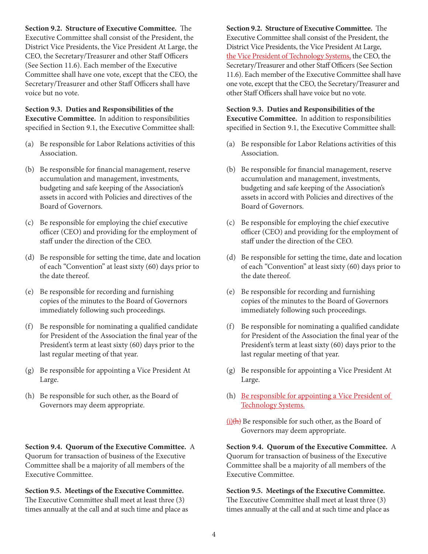**Section 9.2. Structure of Executive Committee.** The Executive Committee shall consist of the President, the District Vice Presidents, the Vice President At Large, the CEO, the Secretary/Treasurer and other Staff Officers (See Section 11.6). Each member of the Executive Committee shall have one vote, except that the CEO, the Secretary/Treasurer and other Staff Officers shall have voice but no vote.

**Section 9.3. Duties and Responsibilities of the Executive Committee.** In addition to responsibilities specified in Section 9.1, the Executive Committee shall:

- (a) Be responsible for Labor Relations activities of this Association.
- (b) Be responsible for financial management, reserve accumulation and management, investments, budgeting and safe keeping of the Association's assets in accord with Policies and directives of the Board of Governors.
- (c) Be responsible for employing the chief executive officer (CEO) and providing for the employment of staff under the direction of the CEO.
- (d) Be responsible for setting the time, date and location of each "Convention" at least sixty (60) days prior to the date thereof.
- (e) Be responsible for recording and furnishing copies of the minutes to the Board of Governors immediately following such proceedings.
- (f) Be responsible for nominating a qualified candidate for President of the Association the final year of the President's term at least sixty (60) days prior to the last regular meeting of that year.
- (g) Be responsible for appointing a Vice President At Large.
- (h) Be responsible for such other, as the Board of Governors may deem appropriate.

**Section 9.4. Quorum of the Executive Committee.** A Quorum for transaction of business of the Executive Committee shall be a majority of all members of the Executive Committee.

**Section 9.5. Meetings of the Executive Committee.**  The Executive Committee shall meet at least three (3) times annually at the call and at such time and place as **Section 9.2. Structure of Executive Committee.** The Executive Committee shall consist of the President, the District Vice Presidents, the Vice President At Large, the Vice President of Technology Systems, the CEO, the Secretary/Treasurer and other Staff Officers (See Section 11.6). Each member of the Executive Committee shall have one vote, except that the CEO, the Secretary/Treasurer and other Staff Officers shall have voice but no vote.

**Section 9.3. Duties and Responsibilities of the Executive Committee.** In addition to responsibilities specified in Section 9.1, the Executive Committee shall:

- (a) Be responsible for Labor Relations activities of this Association.
- (b) Be responsible for financial management, reserve accumulation and management, investments, budgeting and safe keeping of the Association's assets in accord with Policies and directives of the Board of Governors.
- (c) Be responsible for employing the chief executive officer (CEO) and providing for the employment of staff under the direction of the CEO.
- (d) Be responsible for setting the time, date and location of each "Convention" at least sixty (60) days prior to the date thereof.
- (e) Be responsible for recording and furnishing copies of the minutes to the Board of Governors immediately following such proceedings.
- (f) Be responsible for nominating a qualified candidate for President of the Association the final year of the President's term at least sixty (60) days prior to the last regular meeting of that year.
- (g) Be responsible for appointing a Vice President At Large.
- (h) <u>Be responsible for appointing a Vice President of</u> Technology Systems.
- $(i)$ (h) Be responsible for such other, as the Board of Governors may deem appropriate.

**Section 9.4. Quorum of the Executive Committee.** A Quorum for transaction of business of the Executive Committee shall be a majority of all members of the Executive Committee.

**Section 9.5. Meetings of the Executive Committee.**  The Executive Committee shall meet at least three (3) times annually at the call and at such time and place as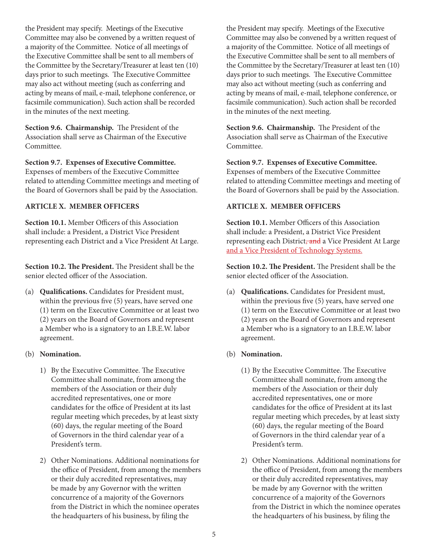the President may specify. Meetings of the Executive Committee may also be convened by a written request of a majority of the Committee. Notice of all meetings of the Executive Committee shall be sent to all members of the Committee by the Secretary/Treasurer at least ten (10) days prior to such meetings. The Executive Committee may also act without meeting (such as conferring and acting by means of mail, e-mail, telephone conference, or facsimile communication). Such action shall be recorded in the minutes of the next meeting.

**Section 9.6. Chairmanship.** The President of the Association shall serve as Chairman of the Executive Committee.

### **Section 9.7. Expenses of Executive Committee.**

Expenses of members of the Executive Committee related to attending Committee meetings and meeting of the Board of Governors shall be paid by the Association.

### **ARTICLE X. MEMBER OFFICERS**

**Section 10.1.** Member Officers of this Association shall include: a President, a District Vice President representing each District and a Vice President At Large.

**Section 10.2. The President.** The President shall be the senior elected officer of the Association.

(a) **Qualifications.** Candidates for President must, within the previous five (5) years, have served one (1) term on the Executive Committee or at least two (2) years on the Board of Governors and represent a Member who is a signatory to an I.B.E.W. labor agreement.

#### (b) **Nomination.**

- 1) By the Executive Committee. The Executive Committee shall nominate, from among the members of the Association or their duly accredited representatives, one or more candidates for the office of President at its last regular meeting which precedes, by at least sixty (60) days, the regular meeting of the Board of Governors in the third calendar year of a President's term.
- 2) Other Nominations. Additional nominations for the office of President, from among the members or their duly accredited representatives, may be made by any Governor with the written concurrence of a majority of the Governors from the District in which the nominee operates the headquarters of his business, by filing the

the President may specify. Meetings of the Executive Committee may also be convened by a written request of a majority of the Committee. Notice of all meetings of the Executive Committee shall be sent to all members of the Committee by the Secretary/Treasurer at least ten (10) days prior to such meetings. The Executive Committee may also act without meeting (such as conferring and acting by means of mail, e-mail, telephone conference, or facsimile communication). Such action shall be recorded in the minutes of the next meeting.

**Section 9.6. Chairmanship.** The President of the Association shall serve as Chairman of the Executive Committee.

# **Section 9.7. Expenses of Executive Committee.**

Expenses of members of the Executive Committee related to attending Committee meetings and meeting of the Board of Governors shall be paid by the Association.

# **ARTICLE X. MEMBER OFFICERS**

**Section 10.1.** Member Officers of this Association shall include: a President, a District Vice President representing each District, and a Vice President At Large and a Vice President of Technology Systems.

**Section 10.2. The President.** The President shall be the senior elected officer of the Association.

- (a) **Qualifications.** Candidates for President must, within the previous five (5) years, have served one (1) term on the Executive Committee or at least two (2) years on the Board of Governors and represent a Member who is a signatory to an I.B.E.W. labor agreement.
- (b) **Nomination.**
	- (1) By the Executive Committee. The Executive Committee shall nominate, from among the members of the Association or their duly accredited representatives, one or more candidates for the office of President at its last regular meeting which precedes, by at least sixty (60) days, the regular meeting of the Board of Governors in the third calendar year of a President's term.
	- 2) Other Nominations. Additional nominations for the office of President, from among the members or their duly accredited representatives, may be made by any Governor with the written concurrence of a majority of the Governors from the District in which the nominee operates the headquarters of his business, by filing the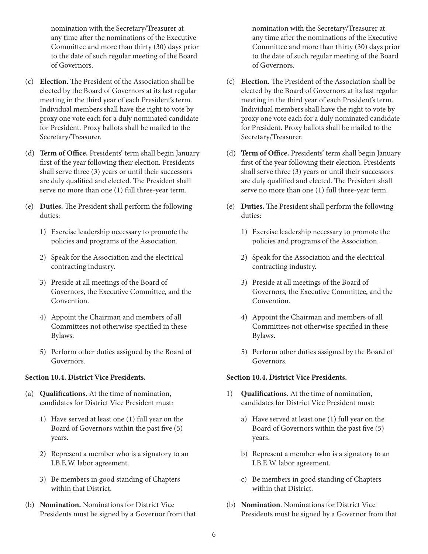nomination with the Secretary/Treasurer at any time after the nominations of the Executive Committee and more than thirty (30) days prior to the date of such regular meeting of the Board of Governors.

- (c) **Election.** The President of the Association shall be elected by the Board of Governors at its last regular meeting in the third year of each President's term. Individual members shall have the right to vote by proxy one vote each for a duly nominated candidate for President. Proxy ballots shall be mailed to the Secretary/Treasurer.
- (d) **Term of Office.** Presidents' term shall begin January first of the year following their election. Presidents shall serve three (3) years or until their successors are duly qualified and elected. The President shall serve no more than one (1) full three-year term.
- (e) **Duties.** The President shall perform the following duties:
	- 1) Exercise leadership necessary to promote the policies and programs of the Association.
	- 2) Speak for the Association and the electrical contracting industry.
	- 3) Preside at all meetings of the Board of Governors, the Executive Committee, and the Convention.
	- 4) Appoint the Chairman and members of all Committees not otherwise specified in these Bylaws.
	- 5) Perform other duties assigned by the Board of Governors.

### **Section 10.4. District Vice Presidents.**

- (a) **Qualifications.** At the time of nomination, candidates for District Vice President must:
	- 1) Have served at least one (1) full year on the Board of Governors within the past five (5) years.
	- 2) Represent a member who is a signatory to an I.B.E.W. labor agreement.
	- 3) Be members in good standing of Chapters within that District.
- (b) **Nomination.** Nominations for District Vice Presidents must be signed by a Governor from that

nomination with the Secretary/Treasurer at any time after the nominations of the Executive Committee and more than thirty (30) days prior to the date of such regular meeting of the Board of Governors.

- (c) **Election.** The President of the Association shall be elected by the Board of Governors at its last regular meeting in the third year of each President's term. Individual members shall have the right to vote by proxy one vote each for a duly nominated candidate for President. Proxy ballots shall be mailed to the Secretary/Treasurer.
- (d) **Term of Office.** Presidents' term shall begin January first of the year following their election. Presidents shall serve three (3) years or until their successors are duly qualified and elected. The President shall serve no more than one (1) full three-year term.
- (e) **Duties.** The President shall perform the following duties:
	- 1) Exercise leadership necessary to promote the policies and programs of the Association.
	- 2) Speak for the Association and the electrical contracting industry.
	- 3) Preside at all meetings of the Board of Governors, the Executive Committee, and the Convention.
	- 4) Appoint the Chairman and members of all Committees not otherwise specified in these Bylaws.
	- 5) Perform other duties assigned by the Board of Governors.

## **Section 10.4. District Vice Presidents.**

- 1) **Qualifications**. At the time of nomination, candidates for District Vice President must:
	- a) Have served at least one (1) full year on the Board of Governors within the past five (5) years.
	- b) Represent a member who is a signatory to an I.B.E.W. labor agreement.
	- c) Be members in good standing of Chapters within that District.
- (b) **Nomination**. Nominations for District Vice Presidents must be signed by a Governor from that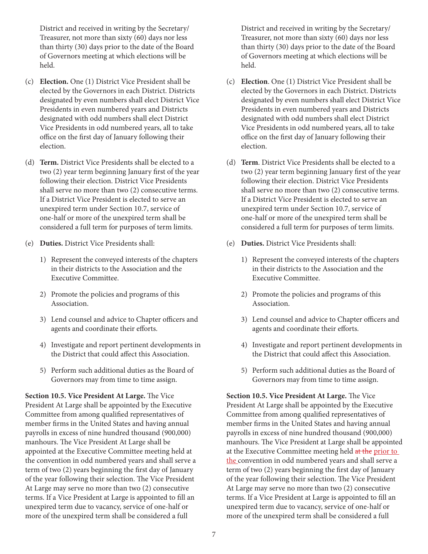District and received in writing by the Secretary/ Treasurer, not more than sixty (60) days nor less than thirty (30) days prior to the date of the Board of Governors meeting at which elections will be held.

- (c) **Election.** One (1) District Vice President shall be elected by the Governors in each District. Districts designated by even numbers shall elect District Vice Presidents in even numbered years and Districts designated with odd numbers shall elect District Vice Presidents in odd numbered years, all to take office on the first day of January following their election.
- (d) **Term.** District Vice Presidents shall be elected to a two (2) year term beginning January first of the year following their election. District Vice Presidents shall serve no more than two (2) consecutive terms. If a District Vice President is elected to serve an unexpired term under Section 10.7, service of one-half or more of the unexpired term shall be considered a full term for purposes of term limits.
- (e) **Duties.** District Vice Presidents shall:
	- 1) Represent the conveyed interests of the chapters in their districts to the Association and the Executive Committee.
	- 2) Promote the policies and programs of this Association.
	- 3) Lend counsel and advice to Chapter officers and agents and coordinate their efforts.
	- 4) Investigate and report pertinent developments in the District that could affect this Association.
	- 5) Perform such additional duties as the Board of Governors may from time to time assign.

**Section 10.5. Vice President At Large.** The Vice President At Large shall be appointed by the Executive Committee from among qualified representatives of member firms in the United States and having annual payrolls in excess of nine hundred thousand (900,000) manhours. The Vice President At Large shall be appointed at the Executive Committee meeting held at the convention in odd numbered years and shall serve a term of two (2) years beginning the first day of January of the year following their selection. The Vice President At Large may serve no more than two (2) consecutive terms. If a Vice President at Large is appointed to fill an unexpired term due to vacancy, service of one-half or more of the unexpired term shall be considered a full

District and received in writing by the Secretary/ Treasurer, not more than sixty (60) days nor less than thirty (30) days prior to the date of the Board of Governors meeting at which elections will be held.

- (c) **Election**. One (1) District Vice President shall be elected by the Governors in each District. Districts designated by even numbers shall elect District Vice Presidents in even numbered years and Districts designated with odd numbers shall elect District Vice Presidents in odd numbered years, all to take office on the first day of January following their election.
- (d) **Term**. District Vice Presidents shall be elected to a two (2) year term beginning January first of the year following their election. District Vice Presidents shall serve no more than two (2) consecutive terms. If a District Vice President is elected to serve an unexpired term under Section 10.7, service of one-half or more of the unexpired term shall be considered a full term for purposes of term limits.
- (e) **Duties.** District Vice Presidents shall:
	- 1) Represent the conveyed interests of the chapters in their districts to the Association and the Executive Committee.
	- 2) Promote the policies and programs of this Association.
	- 3) Lend counsel and advice to Chapter officers and agents and coordinate their efforts.
	- 4) Investigate and report pertinent developments in the District that could affect this Association.
	- 5) Perform such additional duties as the Board of Governors may from time to time assign.

**Section 10.5. Vice President At Large.** The Vice President At Large shall be appointed by the Executive Committee from among qualified representatives of member firms in the United States and having annual payrolls in excess of nine hundred thousand (900,000) manhours. The Vice President at Large shall be appointed at the Executive Committee meeting held at the prior to the convention in odd numbered years and shall serve a term of two (2) years beginning the first day of January of the year following their selection. The Vice President At Large may serve no more than two (2) consecutive terms. If a Vice President at Large is appointed to fill an unexpired term due to vacancy, service of one-half or more of the unexpired term shall be considered a full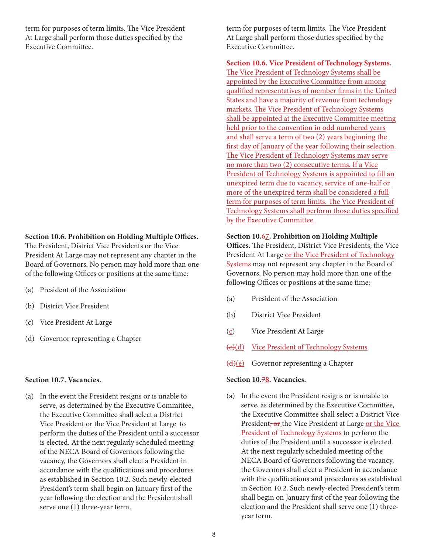term for purposes of term limits. The Vice President At Large shall perform those duties specified by the Executive Committee.

#### **Section 10.6. Prohibition on Holding Multiple Offices.**

The President, District Vice Presidents or the Vice President At Large may not represent any chapter in the Board of Governors. No person may hold more than one of the following Offices or positions at the same time:

- (a) President of the Association
- (b) District Vice President
- (c) Vice President At Large
- (d) Governor representing a Chapter

#### **Section 10.7. Vacancies.**

(a) In the event the President resigns or is unable to serve, as determined by the Executive Committee, the Executive Committee shall select a District Vice President or the Vice President at Large to perform the duties of the President until a successor is elected. At the next regularly scheduled meeting of the NECA Board of Governors following the vacancy, the Governors shall elect a President in accordance with the qualifications and procedures as established in Section 10.2. Such newly-elected President's term shall begin on January first of the year following the election and the President shall serve one (1) three-year term.

term for purposes of term limits. The Vice President At Large shall perform those duties specified by the Executive Committee.

**Section 10.6. Vice President of Technology Systems.**  The Vice President of Technology Systems shall be appointed by the Executive Committee from among qualified representatives of member firms in the United States and have a majority of revenue from technology markets. The Vice President of Technology Systems shall be appointed at the Executive Committee meeting held prior to the convention in odd numbered years and shall serve a term of two (2) years beginning the first day of January of the year following their selection. The Vice President of Technology Systems may serve no more than two (2) consecutive terms. If a Vice President of Technology Systems is appointed to fill an unexpired term due to vacancy, service of one-half or more of the unexpired term shall be considered a full term for purposes of term limits. The Vice President of Technology Systems shall perform those duties specified by the Executive Committee.

### **Section 10.**6**7. Prohibition on Holding Multiple**

**Offices.** The President, District Vice Presidents, the Vice President At Large or the Vice President of Technology Systems may not represent any chapter in the Board of Governors. No person may hold more than one of the following Offices or positions at the same time:

- (a) President of the Association
- (b) District Vice President
- (c) Vice President At Large
- (e)(d) Vice President of Technology Systems
- $\overline{(d)(e)}$  Governor representing a Chapter

### **Section 10.**7**8. Vacancies.**

(a) In the event the President resigns or is unable to serve, as determined by the Executive Committee, the Executive Committee shall select a District Vice President, or the Vice President at Large or the Vice President of Technology Systems to perform the duties of the President until a successor is elected. At the next regularly scheduled meeting of the NECA Board of Governors following the vacancy, the Governors shall elect a President in accordance with the qualifications and procedures as established in Section 10.2. Such newly-elected President's term shall begin on January first of the year following the election and the President shall serve one (1) threeyear term.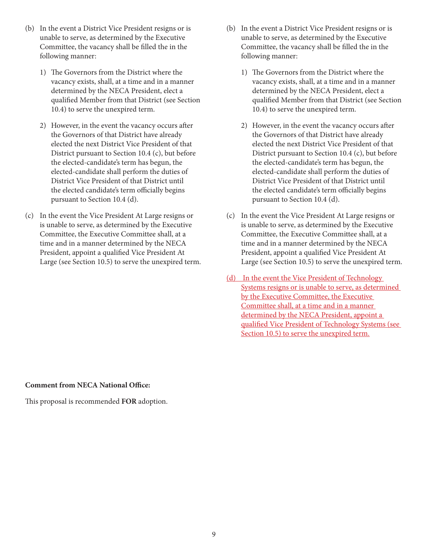- (b) In the event a District Vice President resigns or is unable to serve, as determined by the Executive Committee, the vacancy shall be filled the in the following manner:
	- 1) The Governors from the District where the vacancy exists, shall, at a time and in a manner determined by the NECA President, elect a qualified Member from that District (see Section 10.4) to serve the unexpired term.
	- 2) However, in the event the vacancy occurs after the Governors of that District have already elected the next District Vice President of that District pursuant to Section 10.4 (c), but before the elected-candidate's term has begun, the elected-candidate shall perform the duties of District Vice President of that District until the elected candidate's term officially begins pursuant to Section 10.4 (d).
- (c) In the event the Vice President At Large resigns or is unable to serve, as determined by the Executive Committee, the Executive Committee shall, at a time and in a manner determined by the NECA President, appoint a qualified Vice President At Large (see Section 10.5) to serve the unexpired term.
- (b) In the event a District Vice President resigns or is unable to serve, as determined by the Executive Committee, the vacancy shall be filled the in the following manner:
	- 1) The Governors from the District where the vacancy exists, shall, at a time and in a manner determined by the NECA President, elect a qualified Member from that District (see Section 10.4) to serve the unexpired term.
	- 2) However, in the event the vacancy occurs after the Governors of that District have already elected the next District Vice President of that District pursuant to Section 10.4 (c), but before the elected-candidate's term has begun, the elected-candidate shall perform the duties of District Vice President of that District until the elected candidate's term officially begins pursuant to Section 10.4 (d).
- (c) In the event the Vice President At Large resigns or is unable to serve, as determined by the Executive Committee, the Executive Committee shall, at a time and in a manner determined by the NECA President, appoint a qualified Vice President At Large (see Section 10.5) to serve the unexpired term.
- (d) In the event the Vice President of Technology Systems resigns or is unable to serve, as determined by the Executive Committee, the Executive Committee shall, at a time and in a manner determined by the NECA President, appoint a qualified Vice President of Technology Systems (see Section 10.5) to serve the unexpired term.

**Comment from NECA National Office:**

This proposal is recommended **FOR** adoption.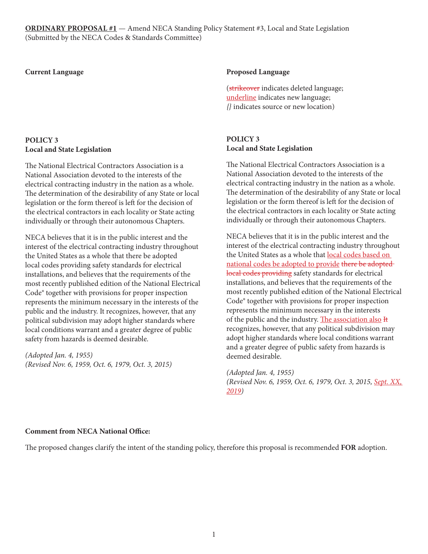**ORDINARY PROPOSAL #1** — Amend NECA Standing Policy Statement #3, Local and State Legislation (Submitted by the NECA Codes & Standards Committee)

### **Current Language**

# **POLICY 3 Local and State Legislation**

The National Electrical Contractors Association is a National Association devoted to the interests of the electrical contracting industry in the nation as a whole. The determination of the desirability of any State or local legislation or the form thereof is left for the decision of the electrical contractors in each locality or State acting individually or through their autonomous Chapters.

NECA believes that it is in the public interest and the interest of the electrical contracting industry throughout the United States as a whole that there be adopted local codes providing safety standards for electrical installations, and believes that the requirements of the most recently published edition of the National Electrical Code® together with provisions for proper inspection represents the minimum necessary in the interests of the public and the industry. It recognizes, however, that any political subdivision may adopt higher standards where local conditions warrant and a greater degree of public safety from hazards is deemed desirable.

*(Adopted Jan. 4, 1955) (Revised Nov. 6, 1959, Oct. 6, 1979, Oct. 3, 2015)*

#### **Proposed Language**

(strikeover indicates deleted language; underline indicates new language; *{}* indicates source or new location)

# **POLICY 3 Local and State Legislation**

The National Electrical Contractors Association is a National Association devoted to the interests of the electrical contracting industry in the nation as a whole. The determination of the desirability of any State or local legislation or the form thereof is left for the decision of the electrical contractors in each locality or State acting individually or through their autonomous Chapters.

NECA believes that it is in the public interest and the interest of the electrical contracting industry throughout the United States as a whole that local codes based on national codes be adopted to provide there be adopted local codes providing safety standards for electrical installations, and believes that the requirements of the most recently published edition of the National Electrical Code® together with provisions for proper inspection represents the minimum necessary in the interests of the public and the industry. The association also It recognizes, however, that any political subdivision may adopt higher standards where local conditions warrant and a greater degree of public safety from hazards is deemed desirable.

*(Adopted Jan. 4, 1955) (Revised Nov. 6, 1959, Oct. 6, 1979, Oct. 3, 2015, Sept. XX, 2019)*

### **Comment from NECA National Office:**

The proposed changes clarify the intent of the standing policy, therefore this proposal is recommended **FOR** adoption.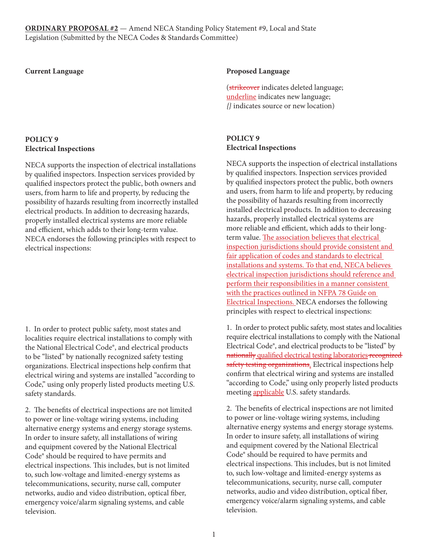**ORDINARY PROPOSAL #2** — Amend NECA Standing Policy Statement #9, Local and State Legislation (Submitted by the NECA Codes & Standards Committee)

#### **Current Language**

# **POLICY 9 Electrical Inspections**

NECA supports the inspection of electrical installations by qualified inspectors. Inspection services provided by qualified inspectors protect the public, both owners and users, from harm to life and property, by reducing the possibility of hazards resulting from incorrectly installed electrical products. In addition to decreasing hazards, properly installed electrical systems are more reliable and efficient, which adds to their long-term value. NECA endorses the following principles with respect to electrical inspections:

1. In order to protect public safety, most states and localities require electrical installations to comply with the National Electrical Code®, and electrical products to be "listed" by nationally recognized safety testing organizations. Electrical inspections help confirm that electrical wiring and systems are installed "according to Code," using only properly listed products meeting U.S. safety standards.

2. The benefits of electrical inspections are not limited to power or line-voltage wiring systems, including alternative energy systems and energy storage systems. In order to insure safety, all installations of wiring and equipment covered by the National Electrical Code® should be required to have permits and electrical inspections. This includes, but is not limited to, such low-voltage and limited-energy systems as telecommunications, security, nurse call, computer networks, audio and video distribution, optical fiber, emergency voice/alarm signaling systems, and cable television.

#### **Proposed Language**

(strikeover indicates deleted language; underline indicates new language; *{}* indicates source or new location)

# **POLICY 9 Electrical Inspections**

NECA supports the inspection of electrical installations by qualified inspectors. Inspection services provided by qualified inspectors protect the public, both owners and users, from harm to life and property, by reducing the possibility of hazards resulting from incorrectly installed electrical products. In addition to decreasing hazards, properly installed electrical systems are more reliable and efficient, which adds to their longterm value. The association believes that electrical inspection jurisdictions should provide consistent and fair application of codes and standards to electrical installations and systems. To that end, NECA believes electrical inspection jurisdictions should reference and perform their responsibilities in a manner consistent with the practices outlined in NFPA 78 Guide on Electrical Inspections. NECA endorses the following principles with respect to electrical inspections:

1. In order to protect public safety, most states and localities require electrical installations to comply with the National Electrical Code®, and electrical products to be "listed" by nationally qualified electrical testing laboratories recognized safety testing organizations. Electrical inspections help confirm that electrical wiring and systems are installed "according to Code," using only properly listed products meeting applicable U.S. safety standards.

2. The benefits of electrical inspections are not limited to power or line-voltage wiring systems, including alternative energy systems and energy storage systems. In order to insure safety, all installations of wiring and equipment covered by the National Electrical Code® should be required to have permits and electrical inspections. This includes, but is not limited to, such low-voltage and limited-energy systems as telecommunications, security, nurse call, computer networks, audio and video distribution, optical fiber, emergency voice/alarm signaling systems, and cable television.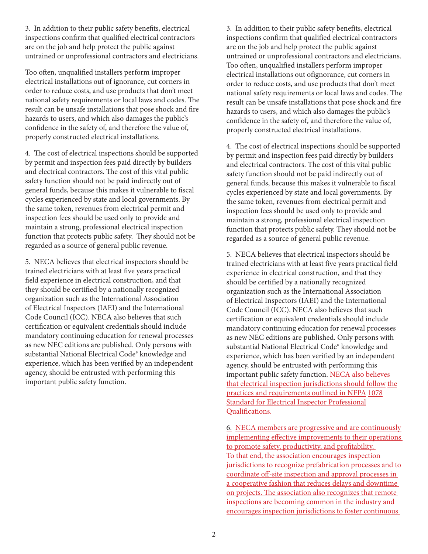3. In addition to their public safety benefits, electrical inspections confirm that qualified electrical contractors are on the job and help protect the public against untrained or unprofessional contractors and electricians.

Too often, unqualified installers perform improper electrical installations out of ignorance, cut corners in order to reduce costs, and use products that don't meet national safety requirements or local laws and codes. The result can be unsafe installations that pose shock and fire hazards to users, and which also damages the public's confidence in the safety of, and therefore the value of, properly constructed electrical installations.

4. The cost of electrical inspections should be supported by permit and inspection fees paid directly by builders and electrical contractors. The cost of this vital public safety function should not be paid indirectly out of general funds, because this makes it vulnerable to fiscal cycles experienced by state and local governments. By the same token, revenues from electrical permit and inspection fees should be used only to provide and maintain a strong, professional electrical inspection function that protects public safety. They should not be regarded as a source of general public revenue.

5. NECA believes that electrical inspectors should be trained electricians with at least five years practical field experience in electrical construction, and that they should be certified by a nationally recognized organization such as the International Association of Electrical Inspectors (IAEI) and the International Code Council (ICC). NECA also believes that such certification or equivalent credentials should include mandatory continuing education for renewal processes as new NEC editions are published. Only persons with substantial National Electrical Code® knowledge and experience, which has been verified by an independent agency, should be entrusted with performing this important public safety function.

3. In addition to their public safety benefits, electrical inspections confirm that qualified electrical contractors are on the job and help protect the public against untrained or unprofessional contractors and electricians. Too often, unqualified installers perform improper electrical installations out ofignorance, cut corners in order to reduce costs, and use products that don't meet national safety requirements or local laws and codes. The result can be unsafe installations that pose shock and fire hazards to users, and which also damages the public's confidence in the safety of, and therefore the value of, properly constructed electrical installations.

4. The cost of electrical inspections should be supported by permit and inspection fees paid directly by builders and electrical contractors. The cost of this vital public safety function should not be paid indirectly out of general funds, because this makes it vulnerable to fiscal cycles experienced by state and local governments. By the same token, revenues from electrical permit and inspection fees should be used only to provide and maintain a strong, professional electrical inspection function that protects public safety. They should not be regarded as a source of general public revenue.

5. NECA believes that electrical inspectors should be trained electricians with at least five years practical field experience in electrical construction, and that they should be certified by a nationally recognized organization such as the International Association of Electrical Inspectors (IAEI) and the International Code Council (ICC). NECA also believes that such certification or equivalent credentials should include mandatory continuing education for renewal processes as new NEC editions are published. Only persons with substantial National Electrical Code® knowledge and experience, which has been verified by an independent agency, should be entrusted with performing this important public safety function. NECA also believes that electrical inspection jurisdictions should follow the practices and requirements outlined in NFPA 1078 Standard for Electrical Inspector Professional Qualifications.

6. NECA members are progressive and are continuously implementing effective improvements to their operations to promote safety, productivity, and profitability. To that end, the association encourages inspection jurisdictions to recognize prefabrication processes and to coordinate off-site inspection and approval processes in a cooperative fashion that reduces delays and downtime on projects. The association also recognizes that remote inspections are becoming common in the industry and encourages inspection jurisdictions to foster continuous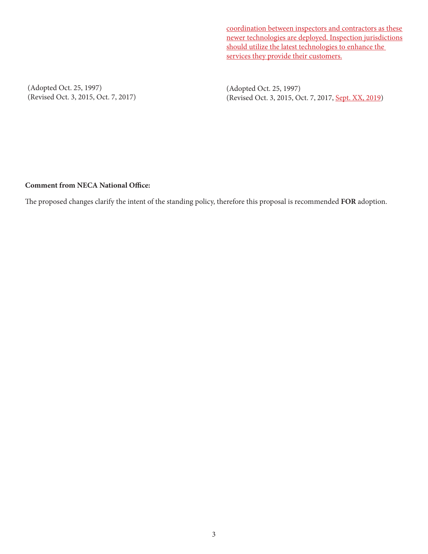coordination between inspectors and contractors as these newer technologies are deployed. Inspection jurisdictions should utilize the latest technologies to enhance the services they provide their customers.

(Adopted Oct. 25, 1997) (Revised Oct. 3, 2015, Oct. 7, 2017)

(Adopted Oct. 25, 1997) (Revised Oct. 3, 2015, Oct. 7, 2017, Sept. XX, 2019)

# **Comment from NECA National Office:**

The proposed changes clarify the intent of the standing policy, therefore this proposal is recommended **FOR** adoption.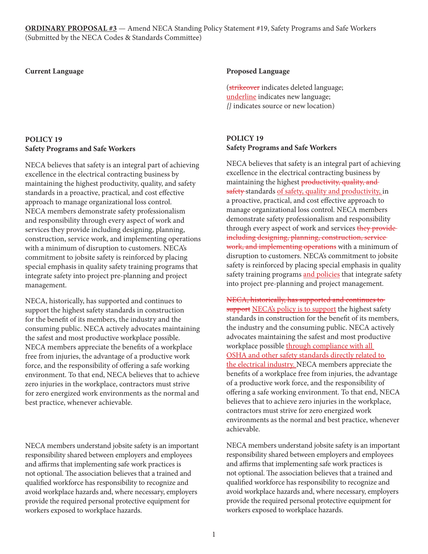**ORDINARY PROPOSAL #3** — Amend NECA Standing Policy Statement #19, Safety Programs and Safe Workers (Submitted by the NECA Codes & Standards Committee)

#### **Current Language**

# **POLICY 19 Safety Programs and Safe Workers**

NECA believes that safety is an integral part of achieving excellence in the electrical contracting business by maintaining the highest productivity, quality, and safety standards in a proactive, practical, and cost effective approach to manage organizational loss control. NECA members demonstrate safety professionalism and responsibility through every aspect of work and services they provide including designing, planning, construction, service work, and implementing operations with a minimum of disruption to customers. NECA's commitment to jobsite safety is reinforced by placing special emphasis in quality safety training programs that integrate safety into project pre-planning and project management.

NECA, historically, has supported and continues to support the highest safety standards in construction for the benefit of its members, the industry and the consuming public. NECA actively advocates maintaining the safest and most productive workplace possible. NECA members appreciate the benefits of a workplace free from injuries, the advantage of a productive work force, and the responsibility of offering a safe working environment. To that end, NECA believes that to achieve zero injuries in the workplace, contractors must strive for zero energized work environments as the normal and best practice, whenever achievable.

NECA members understand jobsite safety is an important responsibility shared between employers and employees and affirms that implementing safe work practices is not optional. The association believes that a trained and qualified workforce has responsibility to recognize and avoid workplace hazards and, where necessary, employers provide the required personal protective equipment for workers exposed to workplace hazards.

### **Proposed Language**

(strikeover indicates deleted language; underline indicates new language; *{}* indicates source or new location)

## **POLICY 19 Safety Programs and Safe Workers**

NECA believes that safety is an integral part of achieving excellence in the electrical contracting business by maintaining the highest productivity, quality, and safety standards of safety, quality and productivity, in a proactive, practical, and cost effective approach to manage organizational loss control. NECA members demonstrate safety professionalism and responsibility through every aspect of work and services they provide including designing, planning, construction, service work, and implementing operations with a minimum of disruption to customers. NECA's commitment to jobsite safety is reinforced by placing special emphasis in quality safety training programs and policies that integrate safety into project pre‐planning and project management.

NECA, historically, has supported and continues to support NECA's policy is to support the highest safety standards in construction for the benefit of its members, the industry and the consuming public. NECA actively advocates maintaining the safest and most productive workplace possible through compliance with all OSHA and other safety standards directly related to the electrical industry. NECA members appreciate the benefits of a workplace free from injuries, the advantage of a productive work force, and the responsibility of offering a safe working environment. To that end, NECA believes that to achieve zero injuries in the workplace, contractors must strive for zero energized work environments as the normal and best practice, whenever achievable.

NECA members understand jobsite safety is an important responsibility shared between employers and employees and affirms that implementing safe work practices is not optional. The association believes that a trained and qualified workforce has responsibility to recognize and avoid workplace hazards and, where necessary, employers provide the required personal protective equipment for workers exposed to workplace hazards.